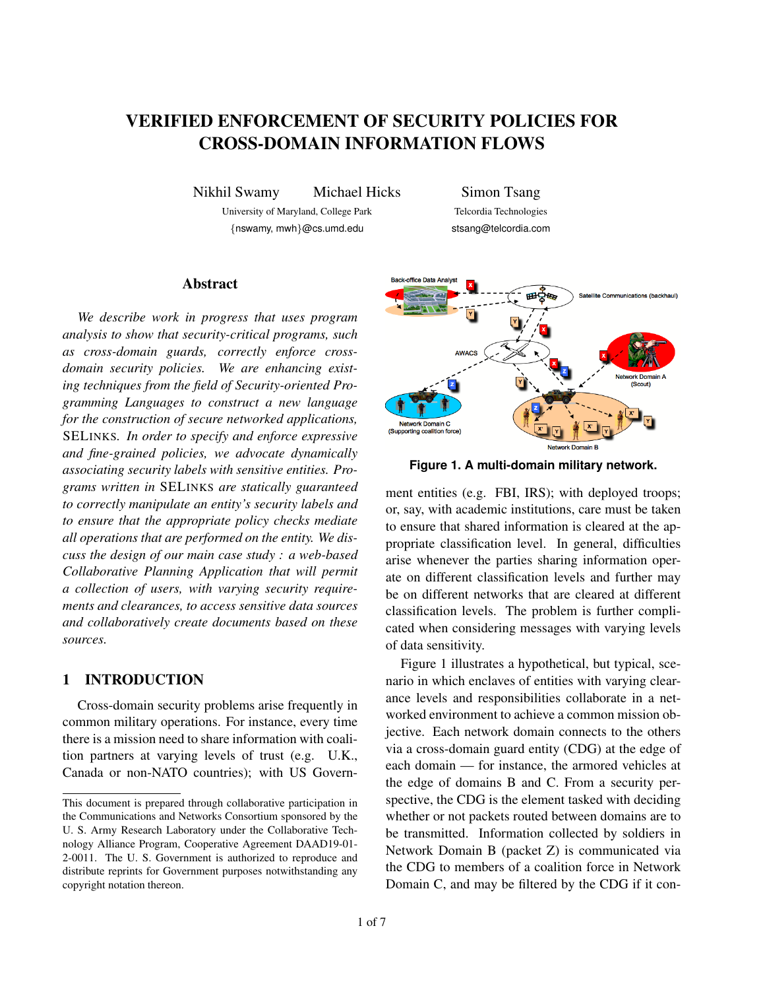# VERIFIED ENFORCEMENT OF SECURITY POLICIES FOR CROSS-DOMAIN INFORMATION FLOWS

Nikhil Swamy Michael Hicks

University of Maryland, College Park {nswamy, mwh}@cs.umd.edu

Simon Tsang Telcordia Technologies stsang@telcordia.com

#### Abstract

*We describe work in progress that uses program analysis to show that security-critical programs, such as cross-domain guards, correctly enforce crossdomain security policies. We are enhancing existing techniques from the field of Security-oriented Programming Languages to construct a new language for the construction of secure networked applications,* SELINKS*. In order to specify and enforce expressive and fine-grained policies, we advocate dynamically associating security labels with sensitive entities. Programs written in* SELINKS *are statically guaranteed to correctly manipulate an entity's security labels and to ensure that the appropriate policy checks mediate all operations that are performed on the entity. We discuss the design of our main case study : a web-based Collaborative Planning Application that will permit a collection of users, with varying security requirements and clearances, to access sensitive data sources and collaboratively create documents based on these sources.*

# 1 INTRODUCTION

Cross-domain security problems arise frequently in common military operations. For instance, every time there is a mission need to share information with coalition partners at varying levels of trust (e.g. U.K., Canada or non-NATO countries); with US Govern-



**Figure 1. A multi-domain military network.**

ment entities (e.g. FBI, IRS); with deployed troops; or, say, with academic institutions, care must be taken to ensure that shared information is cleared at the appropriate classification level. In general, difficulties arise whenever the parties sharing information operate on different classification levels and further may be on different networks that are cleared at different classification levels. The problem is further complicated when considering messages with varying levels of data sensitivity.

Figure 1 illustrates a hypothetical, but typical, scenario in which enclaves of entities with varying clearance levels and responsibilities collaborate in a networked environment to achieve a common mission objective. Each network domain connects to the others via a cross-domain guard entity (CDG) at the edge of each domain — for instance, the armored vehicles at the edge of domains B and C. From a security perspective, the CDG is the element tasked with deciding whether or not packets routed between domains are to be transmitted. Information collected by soldiers in Network Domain B (packet Z) is communicated via the CDG to members of a coalition force in Network Domain C, and may be filtered by the CDG if it con-

This document is prepared through collaborative participation in the Communications and Networks Consortium sponsored by the U. S. Army Research Laboratory under the Collaborative Technology Alliance Program, Cooperative Agreement DAAD19-01- 2-0011. The U. S. Government is authorized to reproduce and distribute reprints for Government purposes notwithstanding any copyright notation thereon.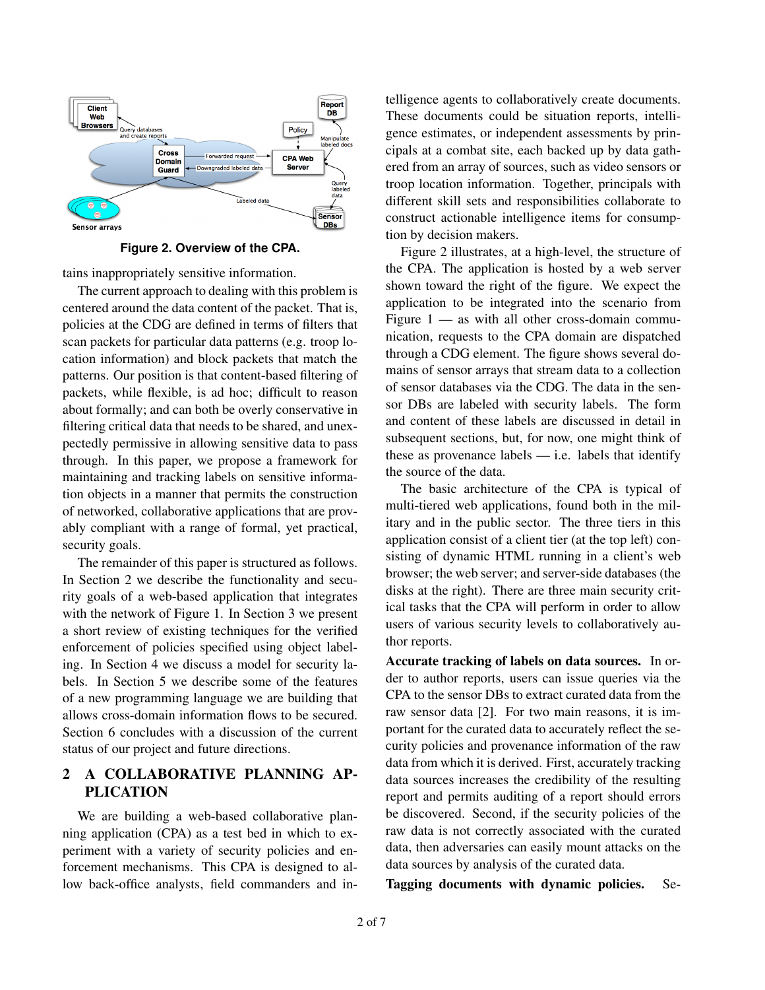

**Figure 2. Overview of the CPA.**

tains inappropriately sensitive information.

The current approach to dealing with this problem is centered around the data content of the packet. That is, policies at the CDG are defined in terms of filters that scan packets for particular data patterns (e.g. troop location information) and block packets that match the patterns. Our position is that content-based filtering of packets, while flexible, is ad hoc; difficult to reason about formally; and can both be overly conservative in filtering critical data that needs to be shared, and unexpectedly permissive in allowing sensitive data to pass through. In this paper, we propose a framework for maintaining and tracking labels on sensitive information objects in a manner that permits the construction of networked, collaborative applications that are provably compliant with a range of formal, yet practical, security goals.

The remainder of this paper is structured as follows. In Section 2 we describe the functionality and security goals of a web-based application that integrates with the network of Figure 1. In Section 3 we present a short review of existing techniques for the verified enforcement of policies specified using object labeling. In Section 4 we discuss a model for security labels. In Section 5 we describe some of the features of a new programming language we are building that allows cross-domain information flows to be secured. Section 6 concludes with a discussion of the current status of our project and future directions.

# 2 A COLLABORATIVE PLANNING AP-PLICATION

We are building a web-based collaborative planning application (CPA) as a test bed in which to experiment with a variety of security policies and enforcement mechanisms. This CPA is designed to allow back-office analysts, field commanders and intelligence agents to collaboratively create documents. These documents could be situation reports, intelligence estimates, or independent assessments by principals at a combat site, each backed up by data gathered from an array of sources, such as video sensors or troop location information. Together, principals with different skill sets and responsibilities collaborate to construct actionable intelligence items for consumption by decision makers.

Figure 2 illustrates, at a high-level, the structure of the CPA. The application is hosted by a web server shown toward the right of the figure. We expect the application to be integrated into the scenario from Figure  $1 -$  as with all other cross-domain communication, requests to the CPA domain are dispatched through a CDG element. The figure shows several domains of sensor arrays that stream data to a collection of sensor databases via the CDG. The data in the sensor DBs are labeled with security labels. The form and content of these labels are discussed in detail in subsequent sections, but, for now, one might think of these as provenance labels  $-$  i.e. labels that identify the source of the data.

The basic architecture of the CPA is typical of multi-tiered web applications, found both in the military and in the public sector. The three tiers in this application consist of a client tier (at the top left) consisting of dynamic HTML running in a client's web browser; the web server; and server-side databases (the disks at the right). There are three main security critical tasks that the CPA will perform in order to allow users of various security levels to collaboratively author reports.

Accurate tracking of labels on data sources. In order to author reports, users can issue queries via the CPA to the sensor DBs to extract curated data from the raw sensor data [2]. For two main reasons, it is important for the curated data to accurately reflect the security policies and provenance information of the raw data from which it is derived. First, accurately tracking data sources increases the credibility of the resulting report and permits auditing of a report should errors be discovered. Second, if the security policies of the raw data is not correctly associated with the curated data, then adversaries can easily mount attacks on the data sources by analysis of the curated data.

Tagging documents with dynamic policies. Se-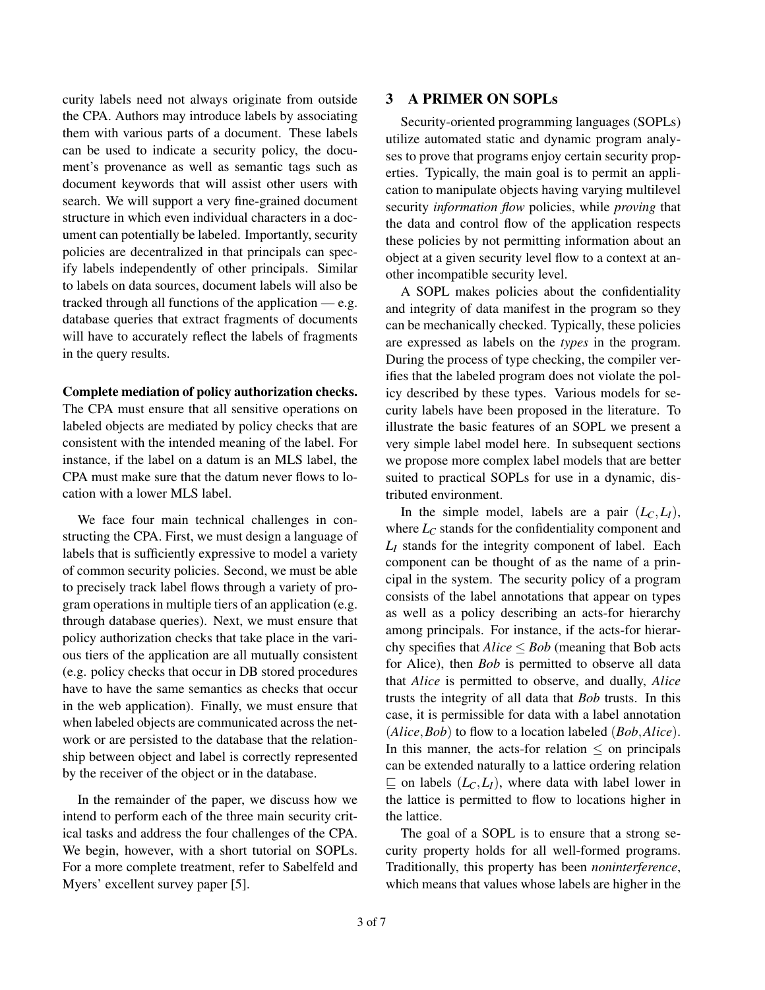curity labels need not always originate from outside the CPA. Authors may introduce labels by associating them with various parts of a document. These labels can be used to indicate a security policy, the document's provenance as well as semantic tags such as document keywords that will assist other users with search. We will support a very fine-grained document structure in which even individual characters in a document can potentially be labeled. Importantly, security policies are decentralized in that principals can specify labels independently of other principals. Similar to labels on data sources, document labels will also be tracked through all functions of the application — e.g. database queries that extract fragments of documents will have to accurately reflect the labels of fragments in the query results.

#### Complete mediation of policy authorization checks.

The CPA must ensure that all sensitive operations on labeled objects are mediated by policy checks that are consistent with the intended meaning of the label. For instance, if the label on a datum is an MLS label, the CPA must make sure that the datum never flows to location with a lower MLS label.

We face four main technical challenges in constructing the CPA. First, we must design a language of labels that is sufficiently expressive to model a variety of common security policies. Second, we must be able to precisely track label flows through a variety of program operations in multiple tiers of an application (e.g. through database queries). Next, we must ensure that policy authorization checks that take place in the various tiers of the application are all mutually consistent (e.g. policy checks that occur in DB stored procedures have to have the same semantics as checks that occur in the web application). Finally, we must ensure that when labeled objects are communicated across the network or are persisted to the database that the relationship between object and label is correctly represented by the receiver of the object or in the database.

In the remainder of the paper, we discuss how we intend to perform each of the three main security critical tasks and address the four challenges of the CPA. We begin, however, with a short tutorial on SOPLs. For a more complete treatment, refer to Sabelfeld and Myers' excellent survey paper [5].

### 3 A PRIMER ON SOPLs

Security-oriented programming languages (SOPLs) utilize automated static and dynamic program analyses to prove that programs enjoy certain security properties. Typically, the main goal is to permit an application to manipulate objects having varying multilevel security *information flow* policies, while *proving* that the data and control flow of the application respects these policies by not permitting information about an object at a given security level flow to a context at another incompatible security level.

A SOPL makes policies about the confidentiality and integrity of data manifest in the program so they can be mechanically checked. Typically, these policies are expressed as labels on the *types* in the program. During the process of type checking, the compiler verifies that the labeled program does not violate the policy described by these types. Various models for security labels have been proposed in the literature. To illustrate the basic features of an SOPL we present a very simple label model here. In subsequent sections we propose more complex label models that are better suited to practical SOPLs for use in a dynamic, distributed environment.

In the simple model, labels are a pair  $(L_C, L_I)$ , where *L<sup>C</sup>* stands for the confidentiality component and *L<sup>I</sup>* stands for the integrity component of label. Each component can be thought of as the name of a principal in the system. The security policy of a program consists of the label annotations that appear on types as well as a policy describing an acts-for hierarchy among principals. For instance, if the acts-for hierarchy specifies that *Alice* ≤ *Bob* (meaning that Bob acts for Alice), then *Bob* is permitted to observe all data that *Alice* is permitted to observe, and dually, *Alice* trusts the integrity of all data that *Bob* trusts. In this case, it is permissible for data with a label annotation (*Alice*,*Bob*) to flow to a location labeled (*Bob*,*Alice*). In this manner, the acts-for relation  $\leq$  on principals can be extended naturally to a lattice ordering relation  $\subseteq$  on labels  $(L_C, L_I)$ , where data with label lower in the lattice is permitted to flow to locations higher in the lattice.

The goal of a SOPL is to ensure that a strong security property holds for all well-formed programs. Traditionally, this property has been *noninterference*, which means that values whose labels are higher in the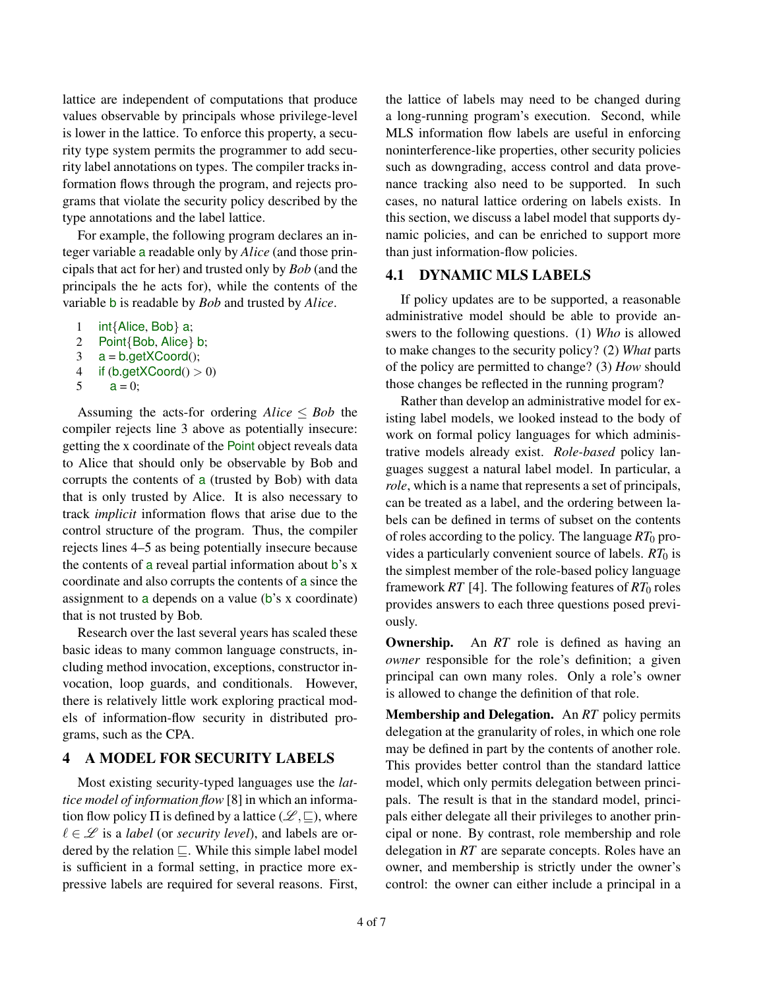lattice are independent of computations that produce values observable by principals whose privilege-level is lower in the lattice. To enforce this property, a security type system permits the programmer to add security label annotations on types. The compiler tracks information flows through the program, and rejects programs that violate the security policy described by the type annotations and the label lattice.

For example, the following program declares an integer variable a readable only by *Alice* (and those principals that act for her) and trusted only by *Bob* (and the principals the he acts for), while the contents of the variable b is readable by *Bob* and trusted by *Alice*.

```
1 int{Alice, Bob} a;
```

```
2 Point{Bob, Alice} b;
```

```
3 \text{ a} = \text{b.getXCoord}
```

```
4 if (b.getXCoord() > 0)
```

```
5 a = 0;
```
Assuming the acts-for ordering  $Alice \leq Bob$  the compiler rejects line 3 above as potentially insecure: getting the x coordinate of the Point object reveals data to Alice that should only be observable by Bob and corrupts the contents of a (trusted by Bob) with data that is only trusted by Alice. It is also necessary to track *implicit* information flows that arise due to the control structure of the program. Thus, the compiler rejects lines 4–5 as being potentially insecure because the contents of  $\bf{a}$  reveal partial information about  $\bf{b}$ 's x coordinate and also corrupts the contents of a since the assignment to a depends on a value (b's x coordinate) that is not trusted by Bob.

Research over the last several years has scaled these basic ideas to many common language constructs, including method invocation, exceptions, constructor invocation, loop guards, and conditionals. However, there is relatively little work exploring practical models of information-flow security in distributed programs, such as the CPA.

# 4 A MODEL FOR SECURITY LABELS

Most existing security-typed languages use the *lattice model of information flow* [8] in which an information flow policy  $\Pi$  is defined by a lattice  $(\mathscr{L}, \sqsubseteq)$ , where  $\ell \in \mathscr{L}$  is a *label* (or *security level*), and labels are ordered by the relation  $\sqsubseteq$ . While this simple label model is sufficient in a formal setting, in practice more expressive labels are required for several reasons. First,

the lattice of labels may need to be changed during a long-running program's execution. Second, while MLS information flow labels are useful in enforcing noninterference-like properties, other security policies such as downgrading, access control and data provenance tracking also need to be supported. In such cases, no natural lattice ordering on labels exists. In this section, we discuss a label model that supports dynamic policies, and can be enriched to support more than just information-flow policies.

# 4.1 DYNAMIC MLS LABELS

If policy updates are to be supported, a reasonable administrative model should be able to provide answers to the following questions. (1) *Who* is allowed to make changes to the security policy? (2) *What* parts of the policy are permitted to change? (3) *How* should those changes be reflected in the running program?

Rather than develop an administrative model for existing label models, we looked instead to the body of work on formal policy languages for which administrative models already exist. *Role-based* policy languages suggest a natural label model. In particular, a *role*, which is a name that represents a set of principals, can be treated as a label, and the ordering between labels can be defined in terms of subset on the contents of roles according to the policy. The language  $RT_0$  provides a particularly convenient source of labels. *RT*<sub>0</sub> is the simplest member of the role-based policy language framework  $RT$  [4]. The following features of  $RT_0$  roles provides answers to each three questions posed previously.

**Ownership.** An *RT* role is defined as having an *owner* responsible for the role's definition; a given principal can own many roles. Only a role's owner is allowed to change the definition of that role.

Membership and Delegation. An *RT* policy permits delegation at the granularity of roles, in which one role may be defined in part by the contents of another role. This provides better control than the standard lattice model, which only permits delegation between principals. The result is that in the standard model, principals either delegate all their privileges to another principal or none. By contrast, role membership and role delegation in *RT* are separate concepts. Roles have an owner, and membership is strictly under the owner's control: the owner can either include a principal in a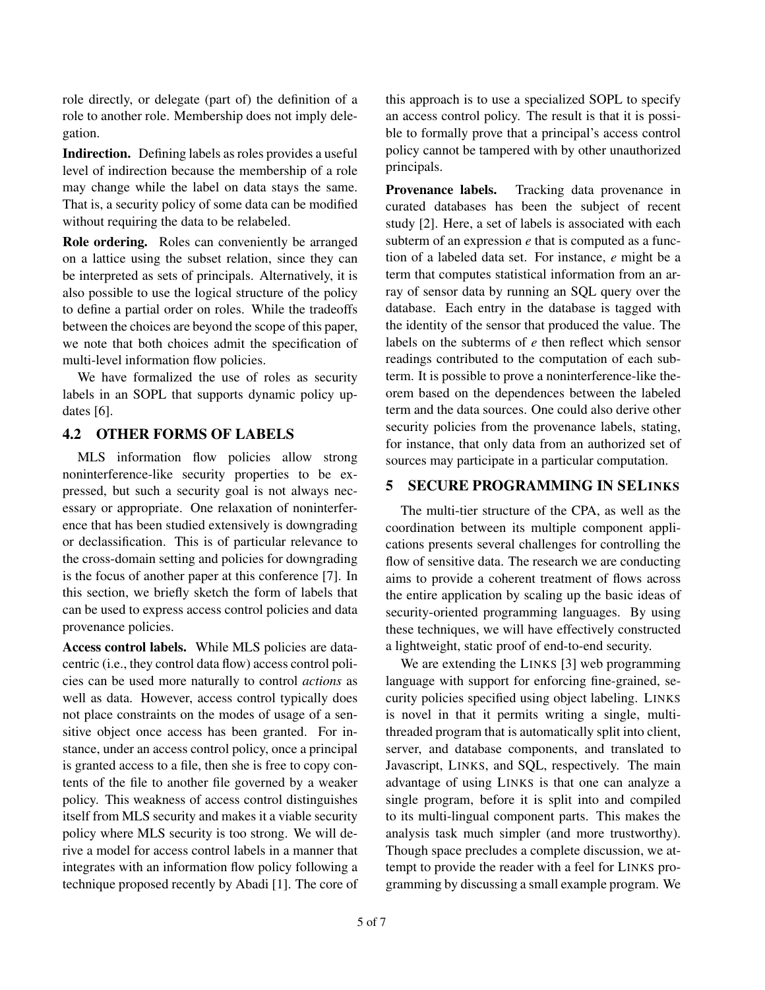role directly, or delegate (part of) the definition of a role to another role. Membership does not imply delegation.

Indirection. Defining labels as roles provides a useful level of indirection because the membership of a role may change while the label on data stays the same. That is, a security policy of some data can be modified without requiring the data to be relabeled.

Role ordering. Roles can conveniently be arranged on a lattice using the subset relation, since they can be interpreted as sets of principals. Alternatively, it is also possible to use the logical structure of the policy to define a partial order on roles. While the tradeoffs between the choices are beyond the scope of this paper, we note that both choices admit the specification of multi-level information flow policies.

We have formalized the use of roles as security labels in an SOPL that supports dynamic policy updates [6].

## 4.2 OTHER FORMS OF LABELS

MLS information flow policies allow strong noninterference-like security properties to be expressed, but such a security goal is not always necessary or appropriate. One relaxation of noninterference that has been studied extensively is downgrading or declassification. This is of particular relevance to the cross-domain setting and policies for downgrading is the focus of another paper at this conference [7]. In this section, we briefly sketch the form of labels that can be used to express access control policies and data provenance policies.

Access control labels. While MLS policies are datacentric (i.e., they control data flow) access control policies can be used more naturally to control *actions* as well as data. However, access control typically does not place constraints on the modes of usage of a sensitive object once access has been granted. For instance, under an access control policy, once a principal is granted access to a file, then she is free to copy contents of the file to another file governed by a weaker policy. This weakness of access control distinguishes itself from MLS security and makes it a viable security policy where MLS security is too strong. We will derive a model for access control labels in a manner that integrates with an information flow policy following a technique proposed recently by Abadi [1]. The core of this approach is to use a specialized SOPL to specify an access control policy. The result is that it is possible to formally prove that a principal's access control policy cannot be tampered with by other unauthorized principals.

Provenance labels. Tracking data provenance in curated databases has been the subject of recent study [2]. Here, a set of labels is associated with each subterm of an expression *e* that is computed as a function of a labeled data set. For instance, *e* might be a term that computes statistical information from an array of sensor data by running an SQL query over the database. Each entry in the database is tagged with the identity of the sensor that produced the value. The labels on the subterms of *e* then reflect which sensor readings contributed to the computation of each subterm. It is possible to prove a noninterference-like theorem based on the dependences between the labeled term and the data sources. One could also derive other security policies from the provenance labels, stating, for instance, that only data from an authorized set of sources may participate in a particular computation.

### 5 SECURE PROGRAMMING IN SELINKS

The multi-tier structure of the CPA, as well as the coordination between its multiple component applications presents several challenges for controlling the flow of sensitive data. The research we are conducting aims to provide a coherent treatment of flows across the entire application by scaling up the basic ideas of security-oriented programming languages. By using these techniques, we will have effectively constructed a lightweight, static proof of end-to-end security.

We are extending the LINKS [3] web programming language with support for enforcing fine-grained, security policies specified using object labeling. LINKS is novel in that it permits writing a single, multithreaded program that is automatically split into client, server, and database components, and translated to Javascript, LINKS, and SQL, respectively. The main advantage of using LINKS is that one can analyze a single program, before it is split into and compiled to its multi-lingual component parts. This makes the analysis task much simpler (and more trustworthy). Though space precludes a complete discussion, we attempt to provide the reader with a feel for LINKS programming by discussing a small example program. We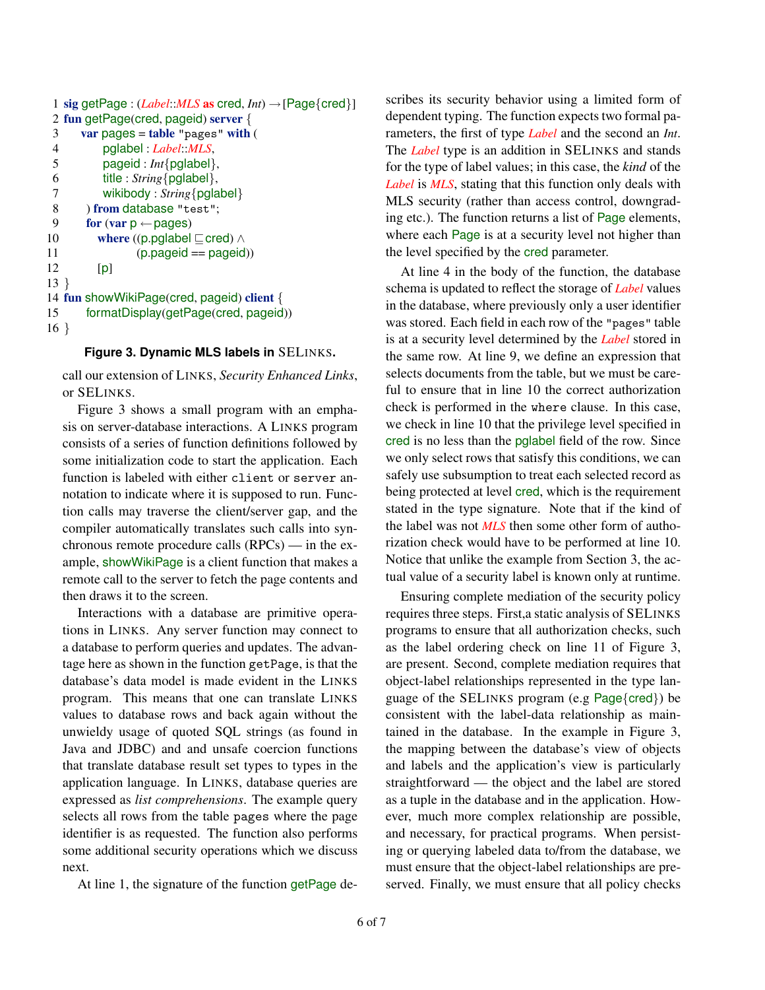```
1 sig getPage : (Label::MLS as cred, Int) →[Page{cred}]
2 fun getPage(cred, pageid) server {
3 var pages = table "pages" with (4 pglabel : Label::MLS,
5 pageid : Int{pglabel},
6 title : String{pglabel},
7 wikibody : String{pglabel}
8 ) from database "test";
9 for (var p \leftarrow pages)
10 where ((p.pglabel \sqsubseteq cred) ∧
11 (p.pageid == pageid))
12 [p]
13 }
14 fun showWikiPage(cred, pageid) client {
15 formatDisplay(getPage(cred, pageid))
16 }
```
#### **Figure 3. Dynamic MLS labels in** SELINKS**.**

call our extension of LINKS, *Security Enhanced Links*, or SELINKS.

Figure 3 shows a small program with an emphasis on server-database interactions. A LINKS program consists of a series of function definitions followed by some initialization code to start the application. Each function is labeled with either client or server annotation to indicate where it is supposed to run. Function calls may traverse the client/server gap, and the compiler automatically translates such calls into synchronous remote procedure calls (RPCs) — in the example, showWikiPage is a client function that makes a remote call to the server to fetch the page contents and then draws it to the screen.

Interactions with a database are primitive operations in LINKS. Any server function may connect to a database to perform queries and updates. The advantage here as shown in the function getPage, is that the database's data model is made evident in the LINKS program. This means that one can translate LINKS values to database rows and back again without the unwieldy usage of quoted SQL strings (as found in Java and JDBC) and and unsafe coercion functions that translate database result set types to types in the application language. In LINKS, database queries are expressed as *list comprehensions*. The example query selects all rows from the table pages where the page identifier is as requested. The function also performs some additional security operations which we discuss next.

At line 1, the signature of the function getPage de-

scribes its security behavior using a limited form of dependent typing. The function expects two formal parameters, the first of type *Label* and the second an *Int*. The *Label* type is an addition in SELINKS and stands for the type of label values; in this case, the *kind* of the *Label* is *MLS*, stating that this function only deals with MLS security (rather than access control, downgrading etc.). The function returns a list of Page elements, where each **Page** is at a security level not higher than the level specified by the cred parameter.

At line 4 in the body of the function, the database schema is updated to reflect the storage of *Label* values in the database, where previously only a user identifier was stored. Each field in each row of the "pages" table is at a security level determined by the *Label* stored in the same row. At line 9, we define an expression that selects documents from the table, but we must be careful to ensure that in line 10 the correct authorization check is performed in the where clause. In this case, we check in line 10 that the privilege level specified in cred is no less than the pglabel field of the row. Since we only select rows that satisfy this conditions, we can safely use subsumption to treat each selected record as being protected at level cred, which is the requirement stated in the type signature. Note that if the kind of the label was not *MLS* then some other form of authorization check would have to be performed at line 10. Notice that unlike the example from Section 3, the actual value of a security label is known only at runtime.

Ensuring complete mediation of the security policy requires three steps. First,a static analysis of SELINKS programs to ensure that all authorization checks, such as the label ordering check on line 11 of Figure 3, are present. Second, complete mediation requires that object-label relationships represented in the type language of the SELINKS program (e.g Page{cred}) be consistent with the label-data relationship as maintained in the database. In the example in Figure 3, the mapping between the database's view of objects and labels and the application's view is particularly straightforward — the object and the label are stored as a tuple in the database and in the application. However, much more complex relationship are possible, and necessary, for practical programs. When persisting or querying labeled data to/from the database, we must ensure that the object-label relationships are preserved. Finally, we must ensure that all policy checks